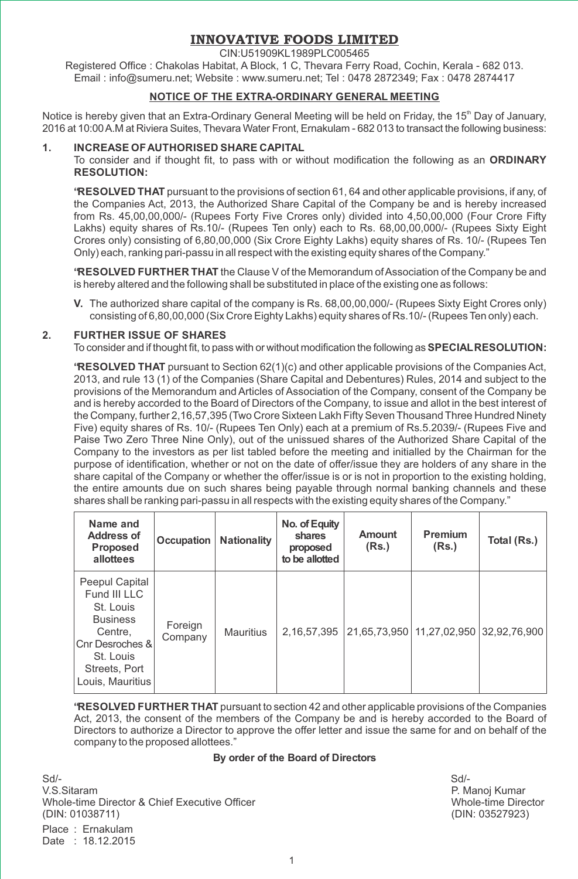# **INNOVATIVE FOODS LIMITED**

CIN:U51909KL1989PLC005465

Registered Office : Chakolas Habitat, A Block, 1 C, Thevara Ferry Road, Cochin, Kerala - 682 013. Email : info@sumeru.net; Website : www.sumeru.net; Tel : 0478 2872349; Fax : 0478 2874417

## **NOTICE OF THE EXTRA-ORDINARY GENERAL MEETING**

Notice is hereby given that an Extra-Ordinary General Meeting will be held on Friday, the 15<sup>th</sup> Day of January, 2016 at 10:00A.M at Riviera Suites, Thevara Water Front, Ernakulam - 682 013 to transact the following business:

## **1. INCREASE OFAUTHORISED SHARE CAPITAL**

To consider and if thought fit, to pass with or without modification the following as an **ORDINARY RESOLUTION:**

**"RESOLVED THAT** pursuant to the provisions of section 61, 64 and other applicable provisions, if any, of the Companies Act, 2013, the Authorized Share Capital of the Company be and is hereby increased from Rs. 45,00,00,000/- (Rupees Forty Five Crores only) divided into 4,50,00,000 (Four Crore Fifty Lakhs) equity shares of Rs.10/- (Rupees Ten only) each to Rs. 68,00,00,000/- (Rupees Sixty Eight Crores only) consisting of 6,80,00,000 (Six Crore Eighty Lakhs) equity shares of Rs. 10/- (Rupees Ten Only) each, ranking pari-passu in all respect with the existing equity shares of the Company."

**"RESOLVED FURTHER THAT** the Clause V of the Memorandum of Association of the Company be and is hereby altered and the following shall be substituted in place of the existing one as follows:

**V.** The authorized share capital of the company is Rs. 68,00,00,000/- (Rupees Sixty Eight Crores only) consisting of 6,80,00,000 (Six Crore Eighty Lakhs) equity shares of Rs.10/- (Rupees Ten only) each.

## **2. FURTHER ISSUE OF SHARES**

To consider and if thought fit, to pass with or without modification the following as**SPECIALRESOLUTION:**

**"RESOLVED THAT** pursuant to Section 62(1)(c) and other applicable provisions of the Companies Act, 2013, and rule 13 (1) of the Companies (Share Capital and Debentures) Rules, 2014 and subject to the provisions of the Memorandum and Articles of Association of the Company, consent of the Company be and is hereby accorded to the Board of Directors of the Company, to issue and allot in the best interest of the Company, further 2,16,57,395 (Two Crore Sixteen Lakh Fifty Seven Thousand Three Hundred Ninety Five) equity shares of Rs. 10/- (Rupees Ten Only) each at a premium of Rs.5.2039/- (Rupees Five and Paise Two Zero Three Nine Only), out of the unissued shares of the Authorized Share Capital of the Company to the investors as per list tabled before the meeting and initialled by the Chairman for the purpose of identification, whether or not on the date of offer/issue they are holders of any share in the share capital of the Company or whether the offer/issue is or is not in proportion to the existing holding, the entire amounts due on such shares being payable through normal banking channels and these shares shall be ranking pari-passu in all respects with the existing equity shares of the Company."

| Name and<br><b>Address of</b><br><b>Proposed</b><br>allottees                                                                                  | Occupation         | <b>Nationality</b> | No. of Equity<br>shares<br>proposed<br>to be allotted | Amount<br>(Rs.) | Premium<br>(Rs.) | Total (Rs.)                                |
|------------------------------------------------------------------------------------------------------------------------------------------------|--------------------|--------------------|-------------------------------------------------------|-----------------|------------------|--------------------------------------------|
| Peepul Capital<br>Fund III LLC<br>St. Louis<br><b>Business</b><br>Centre.<br>Cnr Desroches &<br>St. Louis<br>Streets, Port<br>Louis, Mauritius | Foreign<br>Company | <b>Mauritius</b>   | 2.16.57.395                                           |                 |                  | 21,65,73,950   11,27,02,950   32,92,76,900 |

**"RESOLVED FURTHER THAT** pursuant to section 42 and other applicable provisions of the Companies Act, 2013, the consent of the members of the Company be and is hereby accorded to the Board of Directors to authorize a Director to approve the offer letter and issue the same for and on behalf of the company to the proposed allottees."

### **By order of the Board of Directors**

Sd/- Sd/- V.S.Sitaram P. Manoj Kumar Whole-time Director & Chief Executive Officer (Noted the Network of Michael Mode-time Director UNIT)<br>MIN: 01038711) (DIN: 03527923) (DIN: 01038711)

Place : Ernakulam Date : 18.12.2015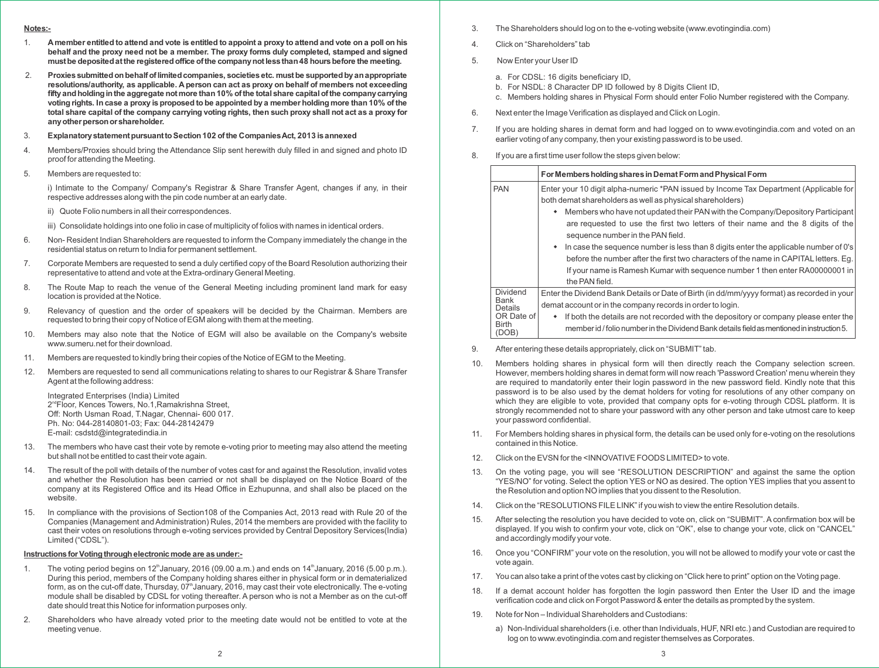#### **Notes:-**

- 1. A member entitled to attend and vote is entitled to appoint a proxy to attend and vote on a poll on his **behalf and the proxy need not be a member. The proxy forms duly completed, stamped and signed mustbe depositedatthe registeredoffice ofthe companynotlessthan48 hoursbefore the meeting.**
- 2. **Proxiessubmittedonbehalfoflimitedcompanies, societiesetc. mustbe supportedbyanappropriate resolutions/authority, as applicable. A person can act as proxy on behalf of members not exceeding fiftyandholdinginthe aggregate notmore than10% ofthe totalshare capitalofthe companycarrying** voting rights. In case a proxy is proposed to be appointed by a member holding more than 10% of the total share capital of the company carrying voting rights, then such proxy shall not act as a proxy for **anyotherpersonorshareholder.**
- 3. **ExplanatorystatementpursuanttoSection102 ofthe CompaniesAct, 2013 isannexed**
- 4. Members/Proxies should bring the Attendance Slip sent herewith duly filled in and signed and photo ID proof for attending the Meeting.
- 5. Members are requested to:

i) Intimate to the Company/ Company's Registrar & Share Transfer Agent, changes if any, in their respective addresses along with the pin code number at an early date.

ii) Quote Folio numbers in all their correspondences.

iii) Consolidate holdings into one folio in case of multiplicity of folios with names in identical orders.

- 6. Non- Resident Indian Shareholders are requested to inform the Company immediately the change in the residential status on return to India for permanent settlement.
- 7. Corporate Members are requested to send a duly certified copy of the Board Resolution authorizing their representative to attend and vote at the Extra-ordinary General Meeting.
- 8. The Route Map to reach the venue of the General Meeting including prominent land mark for easy location is provided at the Notice.
- 9. Relevancy of question and the order of speakers will be decided by the Chairman. Members are requested to bring their copy of Notice of EGM along with them at the meeting.
- 10. Members may also note that the Notice of EGM will also be available on the Company's website www.sumeru.net for their download.
- 11. Members are requested to kindly bring their copies of the Notice of EGM to the Meeting.
- 12. Members are requested to send all communications relating to shares to our Registrar & Share Transfer Agent at the following address:

Integrated Enterprises (India) Limited  $2<sup>nd</sup>$ Floor, Kences Towers, No.1, Ramakrishna Street, Off: North Usman Road, T.Nagar, Chennai- 600 017. Ph. No: 044-28140801-03; Fax: 044-28142479 E-mail: csdstd@integratedindia.in

- 13. The members who have cast their vote by remote e-voting prior to meeting may also attend the meeting but shall not be entitled to cast their vote again.
- 14. The result of the poll with details of the number of votes cast for and against the Resolution, invalid votes and whether the Resolution has been carried or not shall be displayed on the Notice Board of the company at its Registered Office and its Head Office in Ezhupunna, and shall also be placed on the website.
- 15. In compliance with the provisions of Section108 of the Companies Act, 2013 read with Rule 20 of the Companies (Management and Administration) Rules, 2014 the members are provided with the facility to cast their votes on resolutions through e-voting services provided by Central Depository Services(India) Limited ("CDSL").

## **Instructions for Voting through electronic mode are as under:-**

- 1. The voting period begins on 12<sup>th</sup> January, 2016 (09.00 a.m.) and ends on 14<sup>th</sup> January, 2016 (5.00 p.m.). During this period, members of the Company holding shares either in physical form or in dematerialized form, as on the cut-off date, Thursday,  $07<sup>th</sup>$ January, 2016, may cast their vote electronically. The e-voting module shall be disabled by CDSL for voting thereafter. A person who is not a Member as on the cut-off date should treat this Notice for information purposes only.
- 2. Shareholders who have already voted prior to the meeting date would not be entitled to vote at the meeting venue.
- 3. The Shareholders should log on to the e-voting website (www.evotingindia.com)
- 4. Click on "Shareholders" tab
- 5. Now Enter your User ID
	- a. For CDSL: 16 digits beneficiary ID,
	- b. For NSDL: 8 Character DP ID followed by 8 Digits Client ID,
	- c. Members holding shares in Physical Form should enter Folio Number registered with the Company.
- 6. Next enter the Image Verification as displayed and Click on Login.
- 7. If you are holding shares in demat form and had logged on to www.evotingindia.com and voted on an earlier voting of any company, then your existing password is to be used.
- 8. If you are a first time user follow the steps given below:

|                                                                   | For Members holding shares in Demat Form and Physical Form                                                                                                                                                                                                                                                                                                                                                                                                                                                                                                                                                                                       |
|-------------------------------------------------------------------|--------------------------------------------------------------------------------------------------------------------------------------------------------------------------------------------------------------------------------------------------------------------------------------------------------------------------------------------------------------------------------------------------------------------------------------------------------------------------------------------------------------------------------------------------------------------------------------------------------------------------------------------------|
| <b>PAN</b>                                                        | Enter your 10 digit alpha-numeric *PAN issued by Income Tax Department (Applicable for<br>both demat shareholders as well as physical shareholders)<br>Members who have not updated their PAN with the Company/Depository Participant<br>are requested to use the first two letters of their name and the 8 digits of the<br>sequence number in the PAN field.<br>In case the sequence number is less than 8 digits enter the applicable number of 0's<br>before the number after the first two characters of the name in CAPITAL letters. Eg.<br>If your name is Ramesh Kumar with sequence number 1 then enter RA00000001 in<br>the PAN field. |
| <b>Dividend</b><br>Bank<br>Details<br>OR Date of<br>Birth<br>DOB) | Enter the Dividend Bank Details or Date of Birth (in dd/mm/yyyy format) as recorded in your<br>demat account or in the company records in order to login.<br>If both the details are not recorded with the depository or company please enter the<br>member id / folio number in the Dividend Bank details field as mentioned in instruction 5.                                                                                                                                                                                                                                                                                                  |

- 9. After entering these details appropriately, click on "SUBMIT" tab.
- 10. Members holding shares in physical form will then directly reach the Company selection screen. However, members holding shares in demat form will now reach 'Password Creation' menu wherein they are required to mandatorily enter their login password in the new password field. Kindly note that this password is to be also used by the demat holders for voting for resolutions of any other company on which they are eligible to vote, provided that company opts for e-voting through CDSL platform. It is strongly recommended not to share your password with any other person and take utmost care to keep your password confidential.
- 11. For Members holding shares in physical form, the details can be used only for e-voting on the resolutions contained in this Notice.
- 12. Click on the EVSN for the <INNOVATIVE FOODS LIMITED> to vote.
- 13. On the voting page, you will see "RESOLUTION DESCRIPTION" and against the same the option "YES/NO" for voting. Select the option YES or NO as desired. The option YES implies that you assent to the Resolution and option NO implies that you dissent to the Resolution.
- 14. Click on the "RESOLUTIONS FILE LINK" if you wish to view the entire Resolution details.
- 15. After selecting the resolution you have decided to vote on, click on "SUBMIT". A confirmation box will be displayed. If you wish to confirm your vote, click on "OK", else to change your vote, click on "CANCEL" and accordingly modify your vote.
- 16. Once you "CONFIRM" your vote on the resolution, you will not be allowed to modify your vote or cast the vote again.
- 17. You can also take a print of the votes cast by clicking on "Click here to print" option on the Voting page.
- 18. If a demat account holder has forgotten the login password then Enter the User ID and the image verification code and click on Forgot Password & enter the details as prompted by the system.
- 19. Note for Non Individual Shareholders and Custodians:
	- a) Non-Individual shareholders (i.e. other than Individuals, HUF, NRI etc.) and Custodian are required to log on to www.evotingindia.com and register themselves as Corporates.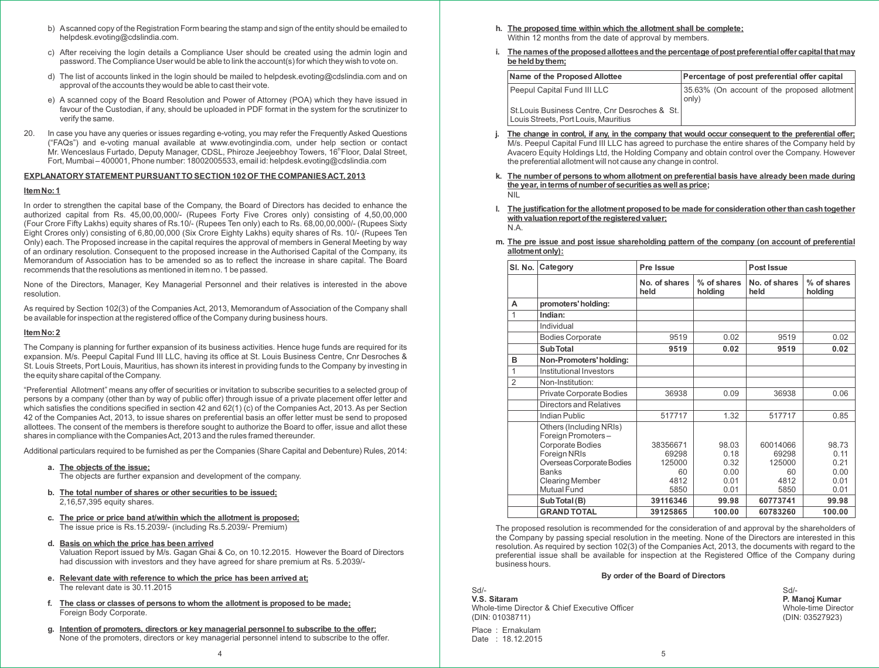- b) Ascanned copy of the Registration Form bearing the stamp and sign of the entity should be emailed to helpdesk.evoting@cdslindia.com.
- c) After receiving the login details a Compliance User should be created using the admin login and password. The Compliance User would be able to link the account(s) for which they wish to vote on.
- d) The list of accounts linked in the login should be mailed to helpdesk.evoting@cdslindia.com and on approval of the accounts they would be able to cast their vote.
- e) A scanned copy of the Board Resolution and Power of Attorney (POA) which they have issued in favour of the Custodian, if any, should be uploaded in PDF format in the system for the scrutinizer to verify the same.
- 20. In case you have any queries or issues regarding e-voting, you may refer the Frequently Asked Questions ("FAQs") and e-voting manual available at www.evotingindia.com, under help section or contact Mr. Wenceslaus Furtado, Deputy Manager, CDSL, Phiroze Jeejeebhoy Towers, 16<sup>th</sup> Floor, Dalal Street, Fort, Mumbai – 400001, Phone number: 18002005533, email id: helpdesk.evoting@cdslindia.com

#### **EXPLANATORY STATEMENT PURSUANT TO SECTION 102 OF THE COMPANIESACT, 2013**

#### **ItemNo:1**

In order to strengthen the capital base of the Company, the Board of Directors has decided to enhance the authorized capital from Rs. 45,00,00,000/- (Rupees Forty Five Crores only) consisting of 4,50,00,000 (Four Crore Fifty Lakhs) equity shares of Rs.10/- (Rupees Ten only) each to Rs. 68,00,00,000/- (Rupees Sixty Eight Crores only) consisting of 6,80,00,000 (Six Crore Eighty Lakhs) equity shares of Rs. 10/- (Rupees Ten Only) each. The Proposed increase in the capital requires the approval of members in General Meeting by way of an ordinary resolution. Consequent to the proposed increase in the Authorised Capital of the Company, its Memorandum of Association has to be amended so as to reflect the increase in share capital. The Board recommends that the resolutions as mentioned in item no. 1 be passed.

None of the Directors, Manager, Key Managerial Personnel and their relatives is interested in the above resolution.

As required by Section 102(3) of the Companies Act, 2013, Memorandum of Association of the Company shall be available for inspection at the registered office of the Company during business hours.

#### **ItemNo:2**

The Company is planning for further expansion of its business activities. Hence huge funds are required for its expansion. M/s. Peepul Capital Fund III LLC, having its office at St. Louis Business Centre, Cnr Desroches & St. Louis Streets, Port Louis, Mauritius, has shown its interest in providing funds to the Company by investing in the equity share capital of the Company.

"Preferential Allotment" means any offer of securities or invitation to subscribe securities to a selected group of persons by a company (other than by way of public offer) through issue of a private placement offer letter and which satisfies the conditions specified in section 42 and 62(1) (c) of the Companies Act, 2013. As per Section 42 of the Companies Act, 2013, to issue shares on preferential basis an offer letter must be send to proposed allottees. The consent of the members is therefore sought to authorize the Board to offer, issue and allot these shares in compliance with the Companies Act, 2013 and the rules framed thereunder.

Additional particulars required to be furnished as per the Companies (Share Capital and Debenture) Rules, 2014:

**a. The objects of the issue;**

The objects are further expansion and development of the company.

- **b. The total number of shares or other securities to be issued;** 2,16,57,395 equity shares.
- **c. The price or price band at/within which the allotment is proposed;** The issue price is Rs.15.2039/- (including Rs.5.2039/- Premium)
- **d. Basis on which the price has been arrived**

Valuation Report issued by M/s. Gagan Ghai & Co, on 10.12.2015. However the Board of Directors had discussion with investors and they have agreed for share premium at Rs. 5.2039/-

- **e. Relevant date with reference to which the price has been arrived at;** The relevant date is 30.11.2015
- **f. The class or classes of persons to whom the allotment is proposed to be made;** Foreign Body Corporate.
- **g. Intention of promoters, directors or key managerial personnel to subscribe to the offer;** None of the promoters, directors or key managerial personnel intend to subscribe to the offer.
- **h. The proposed time within which the allotment shall be complete;** Within 12 months from the date of approval by members.
- **i. The namesofthe proposedallottees andthe percentage ofpostpreferentialoffer capitalthatmay be heldbythem;**

| Name of the Proposed Allottee                                                          | Percentage of post preferential offer capital          |
|----------------------------------------------------------------------------------------|--------------------------------------------------------|
| Peepul Capital Fund III LLC                                                            | 35.63% (On account of the proposed allotment)<br>only) |
| St. Louis Business Centre, Cnr Desroches & St.<br>Louis Streets, Port Louis, Mauritius |                                                        |

- j. The change in control, if any, in the company that would occur consequent to the preferential offer; M/s. Peepul Capital Fund III LLC has agreed to purchase the entire shares of the Company held by Avacero Equity Holdings Ltd, the Holding Company and obtain control over the Company. However the preferential allotment will not cause any change in control.
- **k. The number of persons to whom allotment on preferential basis have already been made during the year, intermsofnumberofsecuritiesaswellasprice;** NIL
- **l. The justification forthe allotment proposed to be made for consideration otherthan cash together** with valuation report of the registered valuer; N.A.
- **m. The pre issue and post issue shareholding pattern of the company (on account of preferential allotmentonly):**

| SI. No.        | Category                                      | Pre Issue             |                        | Post Issue            |                        |
|----------------|-----------------------------------------------|-----------------------|------------------------|-----------------------|------------------------|
|                |                                               | No. of shares<br>held | % of shares<br>holding | No. of shares<br>held | % of shares<br>holding |
| A              | promoters' holding:                           |                       |                        |                       |                        |
| 1              | Indian:                                       |                       |                        |                       |                        |
|                | Individual                                    |                       |                        |                       |                        |
|                | <b>Bodies Corporate</b>                       | 9519                  | 0.02                   | 9519                  | 0.02                   |
|                | Sub Total                                     | 9519                  | 0.02                   | 9519                  | 0.02                   |
| B              | Non-Promoters' holding:                       |                       |                        |                       |                        |
| 1              | Institutional Investors                       |                       |                        |                       |                        |
| $\mathfrak{D}$ | Non-Institution:                              |                       |                        |                       |                        |
|                | Private Corporate Bodies                      | 36938                 | 0.09                   | 36938                 | 0.06                   |
|                | Directors and Relatives                       |                       |                        |                       |                        |
|                | Indian Public                                 | 517717                | 1.32                   | 517717                | 0.85                   |
|                | Others (Including NRIs)<br>Foreign Promoters- |                       |                        |                       |                        |
|                | Corporate Bodies                              | 38356671              | 98.03                  | 60014066              | 98.73                  |
|                | Foreign NRIs<br>Overseas Corporate Bodies     | 69298<br>125000       | 0.18<br>0.32           | 69298<br>125000       | 0.11<br>0.21           |
|                | <b>Banks</b>                                  | 60                    | 0.00                   | 60                    | 0.00                   |
|                | <b>Clearing Member</b>                        | 4812                  | 0.01                   | 4812                  | 0.01                   |
|                | Mutual Fund                                   | 5850                  | 0.01                   | 5850                  | 0.01                   |
|                | Sub Total (B)                                 | 39116346              | 99.98                  | 60773741              | 99.98                  |
|                | <b>GRAND TOTAL</b>                            | 39125865              | 100.00                 | 60783260              | 100.00                 |

The proposed resolution is recommended for the consideration of and approval by the shareholders of the Company by passing special resolution in the meeting. None of the Directors are interested in this resolution. As required by section 102(3) of the Companies Act, 2013, the documents with regard to the preferential issue shall be available for inspection at the Registered Office of the Company during business hours.

#### **By order of the Board of Directors**

Sd/- Sd/- **V.S. Sitaram P. Manoj Kumar** Whole-time Director & Chief Executive Officer (DIN: 01038711)<br>(DIN: 01038711) (DIN: 03527923) (DIN: 01038711)

Place : Ernakulam Date : 18.12.2015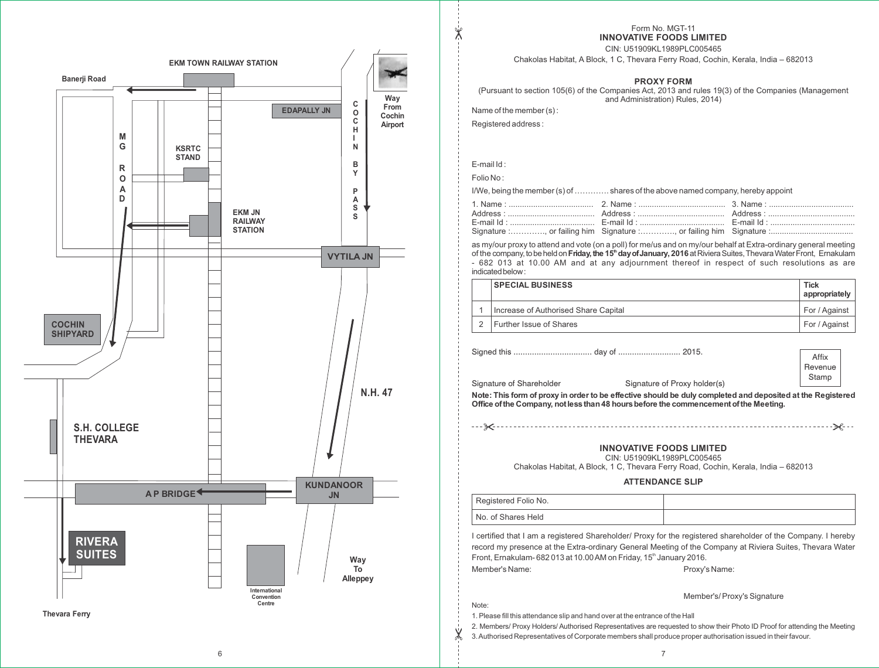

Form No. MGT-11 **INNOVATIVE FOODS LIMITED**

CIN: U51909KL1989PLC005465

Chakolas Habitat, A Block, 1 C, Thevara Ferry Road, Cochin, Kerala, India – 682013

#### **PROXY FORM**

(Pursuant to section 105(6) of the Companies Act, 2013 and rules 19(3) of the Companies (Management and Administration) Rules, 2014)

Name of the member (s) :

Registered address :

E-mail Id :

 $\mathbb{X}$ 

Folio No :

I/We, being the member (s) of …………. shares of the above named company, hereby appoint

as my/our proxy to attend and vote (on a poll) for me/us and on my/our behalf at Extra-ordinary general meeting **th** of the company,tobeheldon**Friday,the 15 dayofJanuary, 2016** atRivieraSuites,ThevaraWaterFront, Ernakulam - 682 013 at 10.00 AM and at any adjournment thereof in respect of such resolutions as are indicated below:

| <b>SPECIAL BUSINESS</b>              | <b>Tick</b><br>appropriately |
|--------------------------------------|------------------------------|
| Increase of Authorised Share Capital | For / Against                |
| Further Issue of Shares              | For / Against                |

Signed this .................................. day of ........................... 2015.

|                          |                                                                                                            | Affix   |
|--------------------------|------------------------------------------------------------------------------------------------------------|---------|
|                          |                                                                                                            | Revenue |
| Signature of Shareholder | Signature of Proxy holder(s)                                                                               | Stamp   |
|                          | Note: This form of proxy in order to be effective should be duly completed and deposited at the Registered |         |

Note: This form of proxy in order to be effective should be duly completed and deposited at the Registered **Office ofthe Company, notlessthan48 hoursbefore the commencementofthe Meeting.**

#### **INNOVATIVE FOODS LIMITED**

CIN: U51909KL1989PLC005465

Chakolas Habitat, A Block, 1 C, Thevara Ferry Road, Cochin, Kerala, India – 682013

**ATTENDANCE SLIP**

| Registered Folio No. |  |
|----------------------|--|
| No. of Shares Held   |  |

I certified that I am a registered Shareholder/ Proxy for the registered shareholder of the Company. I hereby record my presence at the Extra-ordinary General Meeting of the Company at Riviera Suites, Thevara Water Front, Ernakulam- 682 013 at 10.00 AM on Friday, 15<sup>th</sup> January 2016. Member's Name: Name: Proxy's Name:

Note:

Member's/ Proxy's Signature

1. Please fill this attendance slip and hand over at the entrance of the Hall

2. Members/ Proxy Holders/ Authorised Representatives are requested to show their Photo ID Proof for attending the Meeting

3. Authorised Representatives of Corporate members shall produce proper authorisation issued in their favour.

6 **6** 7 7 8 9 7 8 9 7 8 9 7 8 9 7 8 9 7 8 9 7 8 9 7 8 9 7 8 9 7 8 9 7 8 9 7 8 9 7 8 9 7 8 9 7 8 9 7 8 9 7 8 9 7 8 9 7 8 9 7 8 9 7 8 9 7 8 9 7 8 9 7 8 9 7 8 9 7 8 9 7 8 9 7 8 9 7 8 9 7 8 9 7 8 9 7 8 9 7 8 9 7 8 9 7 8 9 7 8